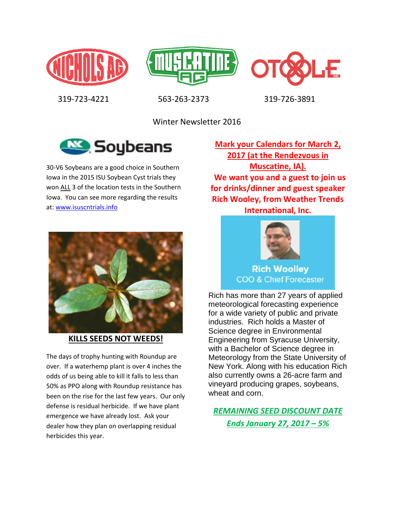





319-723-4221 563-263-2373 319-726-3891

Winter Newsletter 2016



30-V6 Soybeans are a good choice in Southern Iowa in the 2015 ISU Soybean Cyst trials they won ALL 3 of the location tests in the Southern Iowa. You can see more regarding the results at: [www.isuscntrials.info](http://www.isuscntrials.info/)



**KILLS SEEDS NOT WEEDS!**

The days of trophy hunting with Roundup are over. If a waterhemp plant is over 4 inches the odds of us being able to kill it falls to less than 50% as PPO along with Roundup resistance has been on the rise for the last few years. Our only defense is residual herbicide. If we have plant emergence we have already lost. Ask your dealer how they plan on overlapping residual herbicides this year.

**Mark your Calendars for March 2, 2017 (at the Rendezvous in Muscatine, IA). We want you and a guest to join us for drinks/dinner and guest speaker Rich Wooley, from Weather Trends International, Inc.**



**Rich Woolley COO & Chief Forecaster** 

Rich has more than 27 years of applied meteorological forecasting experience for a wide variety of public and private industries. Rich holds a Master of Science degree in Environmental Engineering from Syracuse University, with a Bachelor of Science degree in Meteorology from the State University of New York. Along with his education Rich also currently owns a 26-acre farm and vineyard producing grapes, soybeans, wheat and corn.

*REMAINING SEED DISCOUNT DATE Ends January 27, 2017 – 5%*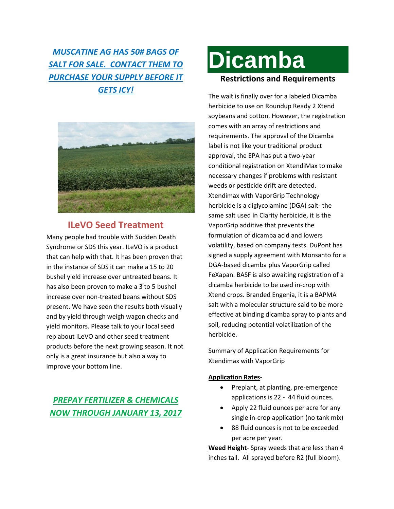## *MUSCATINE AG HAS 50# BAGS OF SALT FOR SALE. CONTACT THEM TO PURCHASE YOUR SUPPLY BEFORE IT GETS ICY!*



#### **ILeVO Seed Treatment**

Many people had trouble with Sudden Death Syndrome or SDS this year. ILeVO is a product that can help with that. It has been proven that in the instance of SDS it can make a 15 to 20 bushel yield increase over untreated beans. It has also been proven to make a 3 to 5 bushel increase over non-treated beans without SDS present. We have seen the results both visually and by yield through weigh wagon checks and yield monitors. Please talk to your local seed rep about ILeVO and other seed treatment products before the next growing season. It not only is a great insurance but also a way to improve your bottom line.

### *PREPAY FERTILIZER & CHEMICALS NOW THROUGH JANUARY 13, 2017*

# **Dicamba Restrictions and Requirements**

The wait is finally over for a labeled Dicamba herbicide to use on Roundup Ready 2 Xtend soybeans and cotton. However, the registration comes with an array of restrictions and requirements. The approval of the Dicamba label is not like your traditional product approval, the EPA has put a two-year conditional registration on XtendiMax to make necessary changes if problems with resistant weeds or pesticide drift are detected. Xtendimax with VaporGrip Technology herbicide is a diglycolamine (DGA) salt- the same salt used in Clarity herbicide, it is the VaporGrip additive that prevents the formulation of dicamba acid and lowers volatility, based on company tests. DuPont has signed a supply agreement with Monsanto for a DGA-based dicamba plus VaporGrip called FeXapan. BASF is also awaiting registration of a dicamba herbicide to be used in-crop with Xtend crops. Branded Engenia, it is a BAPMA salt with a molecular structure said to be more effective at binding dicamba spray to plants and soil, reducing potential volatilization of the herbicide.

Summary of Application Requirements for Xtendimax with VaporGrip

#### **Application Rates**-

- Preplant, at planting, pre-emergence applications is 22 - 44 fluid ounces.
- Apply 22 fluid ounces per acre for any single in-crop application (no tank mix)
- 88 fluid ounces is not to be exceeded per acre per year.

**Weed Height**- Spray weeds that are less than 4 inches tall. All sprayed before R2 (full bloom).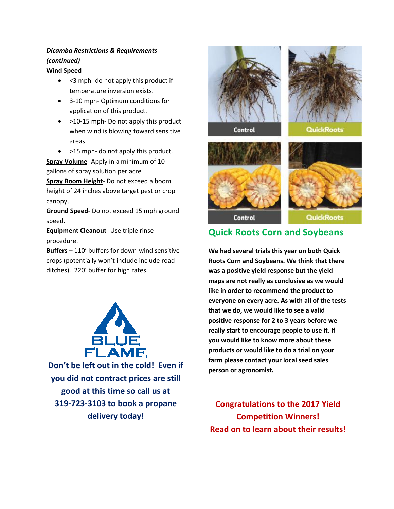#### *Dicamba Restrictions & Requirements (continued)*

#### **Wind Speed**-

- < 3 mph- do not apply this product if temperature inversion exists.
- 3-10 mph- Optimum conditions for application of this product.
- >10-15 mph- Do not apply this product when wind is blowing toward sensitive areas.
- >15 mph- do not apply this product.

**Spray Volume**- Apply in a minimum of 10 gallons of spray solution per acre

**Spray Boom Height**- Do not exceed a boom height of 24 inches above target pest or crop canopy,

**Ground Speed**- Do not exceed 15 mph ground speed.

**Equipment Cleanout**- Use triple rinse procedure.

**Buffers** – 110' buffers for down-wind sensitive crops (potentially won't include include road ditches). 220' buffer for high rates.



**Don't be left out in the cold! Even if you did not contract prices are still good at this time so call us at 319-723-3103 to book a propane delivery today!**





**Ouick Roots** 

**Control** 





**Control** 

QuickRoots

## **Quick Roots Corn and Soybeans**

**We had several trials this year on both Quick Roots Corn and Soybeans. We think that there was a positive yield response but the yield maps are not really as conclusive as we would like in order to recommend the product to everyone on every acre. As with all of the tests that we do, we would like to see a valid positive response for 2 to 3 years before we really start to encourage people to use it. If you would like to know more about these products or would like to do a trial on your farm please contact your local seed sales person or agronomist.**

**Congratulations to the 2017 Yield Competition Winners! Read on to learn about their results!**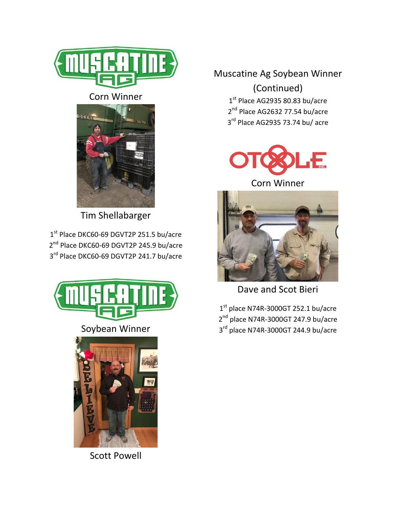

#### Corn Winner



Tim Shellabarger

1 st Place DKC60-69 DGVT2P 251.5 bu/acre 2<sup>nd</sup> Place DKC60-69 DGVT2P 245.9 bu/acre 3<sup>rd</sup> Place DKC60-69 DGVT2P 241.7 bu/acre



Scott Powell

# Muscatine Ag Soybean Winner (Continued)

 $1<sup>st</sup>$  Place AG2935 80.83 bu/acre 2<sup>nd</sup> Place AG2632 77.54 bu/acre 3<sup>rd</sup> Place AG2935 73.74 bu/ acre



Corn Winner



Dave and Scot Bieri

1<sup>st</sup> place N74R-3000GT 252.1 bu/acre 2<sup>nd</sup> place N74R-3000GT 247.9 bu/acre 3<sup>rd</sup> place N74R-3000GT 244.9 bu/acre